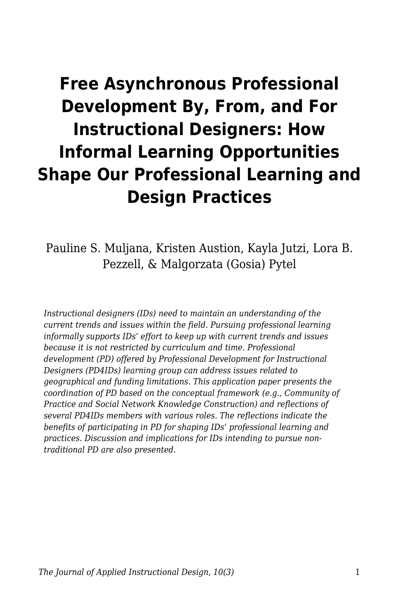# **Free Asynchronous Professional Development By, From, and For Instructional Designers: How Informal Learning Opportunities Shape Our Professional Learning and Design Practices**

Pauline S. Muljana, Kristen Austion, Kayla Jutzi, Lora B. Pezzell, & Malgorzata (Gosia) Pytel

*Instructional designers (IDs) need to maintain an understanding of the current trends and issues within the field. Pursuing professional learning informally supports IDs' effort to keep up with current trends and issues because it is not restricted by curriculum and time. Professional development (PD) offered by Professional Development for Instructional Designers (PD4IDs) learning group can address issues related to geographical and funding limitations. This application paper presents the coordination of PD based on the conceptual framework (e.g., Community of Practice and Social Network Knowledge Construction) and reflections of several PD4IDs members with various roles. The reflections indicate the benefits of participating in PD for shaping IDs' professional learning and practices. Discussion and implications for IDs intending to pursue nontraditional PD are also presented.*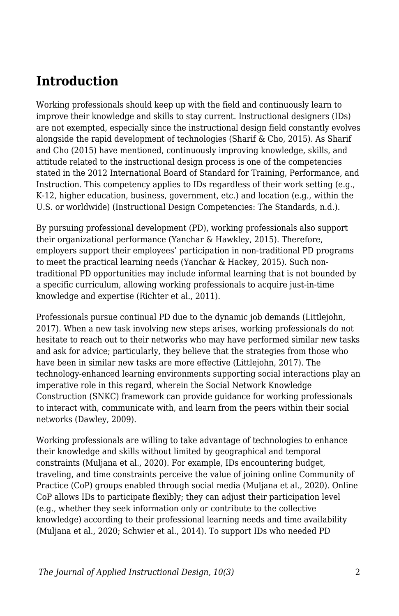### **Introduction**

Working professionals should keep up with the field and continuously learn to improve their knowledge and skills to stay current. Instructional designers (IDs) are not exempted, especially since the instructional design field constantly evolves alongside the rapid development of technologies (Sharif & Cho, 2015). As Sharif and Cho (2015) have mentioned, continuously improving knowledge, skills, and attitude related to the instructional design process is one of the competencies stated in the 2012 International Board of Standard for Training, Performance, and Instruction. This competency applies to IDs regardless of their work setting (e.g., K-12, higher education, business, government, etc.) and location (e.g., within the U.S. or worldwide) (Instructional Design Competencies: The Standards, n.d.).

By pursuing professional development (PD), working professionals also support their organizational performance (Yanchar & Hawkley, 2015). Therefore, employers support their employees' participation in non-traditional PD programs to meet the practical learning needs (Yanchar & Hackey, 2015). Such nontraditional PD opportunities may include informal learning that is not bounded by a specific curriculum, allowing working professionals to acquire just-in-time knowledge and expertise (Richter et al., 2011).

Professionals pursue continual PD due to the dynamic job demands (Littlejohn, 2017). When a new task involving new steps arises, working professionals do not hesitate to reach out to their networks who may have performed similar new tasks and ask for advice; particularly, they believe that the strategies from those who have been in similar new tasks are more effective (Littlejohn, 2017). The technology-enhanced learning environments supporting social interactions play an imperative role in this regard, wherein the Social Network Knowledge Construction (SNKC) framework can provide guidance for working professionals to interact with, communicate with, and learn from the peers within their social networks (Dawley, 2009).

Working professionals are willing to take advantage of technologies to enhance their knowledge and skills without limited by geographical and temporal constraints (Muljana et al., 2020). For example, IDs encountering budget, traveling, and time constraints perceive the value of joining online Community of Practice (CoP) groups enabled through social media (Muljana et al., 2020). Online CoP allows IDs to participate flexibly; they can adjust their participation level (e.g., whether they seek information only or contribute to the collective knowledge) according to their professional learning needs and time availability (Muljana et al., 2020; Schwier et al., 2014). To support IDs who needed PD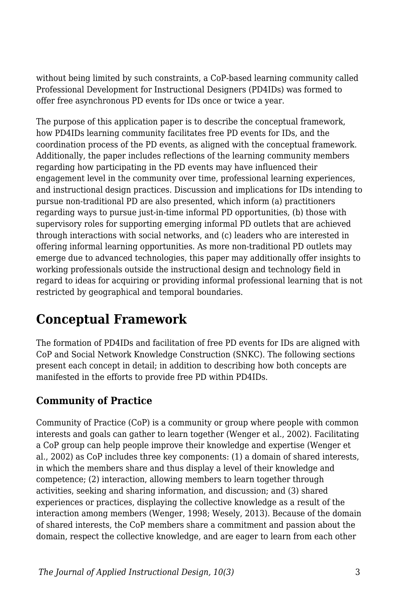without being limited by such constraints, a CoP-based learning community called Professional Development for Instructional Designers (PD4IDs) was formed to offer free asynchronous PD events for IDs once or twice a year.

The purpose of this application paper is to describe the conceptual framework, how PD4IDs learning community facilitates free PD events for IDs, and the coordination process of the PD events, as aligned with the conceptual framework. Additionally, the paper includes reflections of the learning community members regarding how participating in the PD events may have influenced their engagement level in the community over time, professional learning experiences, and instructional design practices. Discussion and implications for IDs intending to pursue non-traditional PD are also presented, which inform (a) practitioners regarding ways to pursue just-in-time informal PD opportunities, (b) those with supervisory roles for supporting emerging informal PD outlets that are achieved through interactions with social networks, and (c) leaders who are interested in offering informal learning opportunities. As more non-traditional PD outlets may emerge due to advanced technologies, this paper may additionally offer insights to working professionals outside the instructional design and technology field in regard to ideas for acquiring or providing informal professional learning that is not restricted by geographical and temporal boundaries.

# **Conceptual Framework**

The formation of PD4IDs and facilitation of free PD events for IDs are aligned with CoP and Social Network Knowledge Construction (SNKC). The following sections present each concept in detail; in addition to describing how both concepts are manifested in the efforts to provide free PD within PD4IDs.

### **Community of Practice**

Community of Practice (CoP) is a community or group where people with common interests and goals can gather to learn together (Wenger et al., 2002). Facilitating a CoP group can help people improve their knowledge and expertise (Wenger et al., 2002) as CoP includes three key components: (1) a domain of shared interests, in which the members share and thus display a level of their knowledge and competence; (2) interaction, allowing members to learn together through activities, seeking and sharing information, and discussion; and (3) shared experiences or practices, displaying the collective knowledge as a result of the interaction among members (Wenger, 1998; Wesely, 2013). Because of the domain of shared interests, the CoP members share a commitment and passion about the domain, respect the collective knowledge, and are eager to learn from each other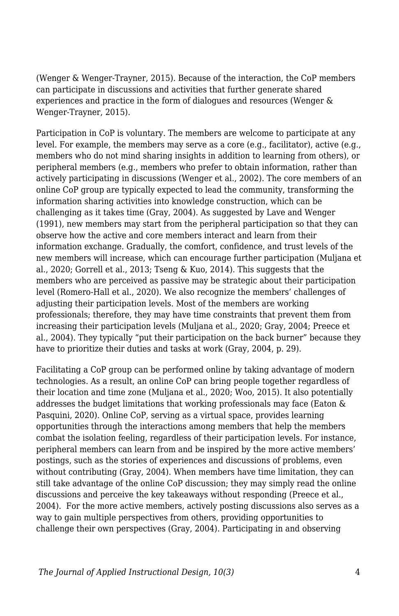(Wenger & Wenger-Trayner, 2015). Because of the interaction, the CoP members can participate in discussions and activities that further generate shared experiences and practice in the form of dialogues and resources (Wenger & Wenger-Trayner, 2015).

Participation in CoP is voluntary. The members are welcome to participate at any level. For example, the members may serve as a core (e.g., facilitator), active (e.g., members who do not mind sharing insights in addition to learning from others), or peripheral members (e.g., members who prefer to obtain information, rather than actively participating in discussions (Wenger et al., 2002). The core members of an online CoP group are typically expected to lead the community, transforming the information sharing activities into knowledge construction, which can be challenging as it takes time (Gray, 2004). As suggested by Lave and Wenger (1991), new members may start from the peripheral participation so that they can observe how the active and core members interact and learn from their information exchange. Gradually, the comfort, confidence, and trust levels of the new members will increase, which can encourage further participation (Muljana et al., 2020; Gorrell et al., 2013; Tseng & Kuo, 2014). This suggests that the members who are perceived as passive may be strategic about their participation level (Romero-Hall et al., 2020). We also recognize the members' challenges of adjusting their participation levels. Most of the members are working professionals; therefore, they may have time constraints that prevent them from increasing their participation levels (Muljana et al., 2020; Gray, 2004; Preece et al., 2004). They typically "put their participation on the back burner" because they have to prioritize their duties and tasks at work (Gray, 2004, p. 29).

Facilitating a CoP group can be performed online by taking advantage of modern technologies. As a result, an online CoP can bring people together regardless of their location and time zone (Muljana et al., 2020; Woo, 2015). It also potentially addresses the budget limitations that working professionals may face (Eaton & Pasquini, 2020). Online CoP, serving as a virtual space, provides learning opportunities through the interactions among members that help the members combat the isolation feeling, regardless of their participation levels. For instance, peripheral members can learn from and be inspired by the more active members' postings, such as the stories of experiences and discussions of problems, even without contributing (Gray, 2004). When members have time limitation, they can still take advantage of the online CoP discussion; they may simply read the online discussions and perceive the key takeaways without responding (Preece et al., 2004). For the more active members, actively posting discussions also serves as a way to gain multiple perspectives from others, providing opportunities to challenge their own perspectives (Gray, 2004). Participating in and observing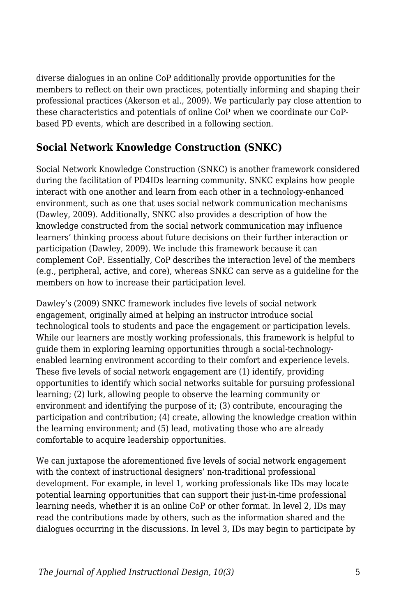diverse dialogues in an online CoP additionally provide opportunities for the members to reflect on their own practices, potentially informing and shaping their professional practices (Akerson et al., 2009). We particularly pay close attention to these characteristics and potentials of online CoP when we coordinate our CoPbased PD events, which are described in a following section.

#### **Social Network Knowledge Construction (SNKC)**

Social Network Knowledge Construction (SNKC) is another framework considered during the facilitation of PD4IDs learning community. SNKC explains how people interact with one another and learn from each other in a technology-enhanced environment, such as one that uses social network communication mechanisms (Dawley, 2009). Additionally, SNKC also provides a description of how the knowledge constructed from the social network communication may influence learners' thinking process about future decisions on their further interaction or participation (Dawley, 2009). We include this framework because it can complement CoP. Essentially, CoP describes the interaction level of the members (e.g., peripheral, active, and core), whereas SNKC can serve as a guideline for the members on how to increase their participation level.

Dawley's (2009) SNKC framework includes five levels of social network engagement, originally aimed at helping an instructor introduce social technological tools to students and pace the engagement or participation levels. While our learners are mostly working professionals, this framework is helpful to guide them in exploring learning opportunities through a social-technologyenabled learning environment according to their comfort and experience levels. These five levels of social network engagement are (1) identify, providing opportunities to identify which social networks suitable for pursuing professional learning; (2) lurk, allowing people to observe the learning community or environment and identifying the purpose of it; (3) contribute, encouraging the participation and contribution; (4) create, allowing the knowledge creation within the learning environment; and (5) lead, motivating those who are already comfortable to acquire leadership opportunities.

We can juxtapose the aforementioned five levels of social network engagement with the context of instructional designers' non-traditional professional development. For example, in level 1, working professionals like IDs may locate potential learning opportunities that can support their just-in-time professional learning needs, whether it is an online CoP or other format. In level 2, IDs may read the contributions made by others, such as the information shared and the dialogues occurring in the discussions. In level 3, IDs may begin to participate by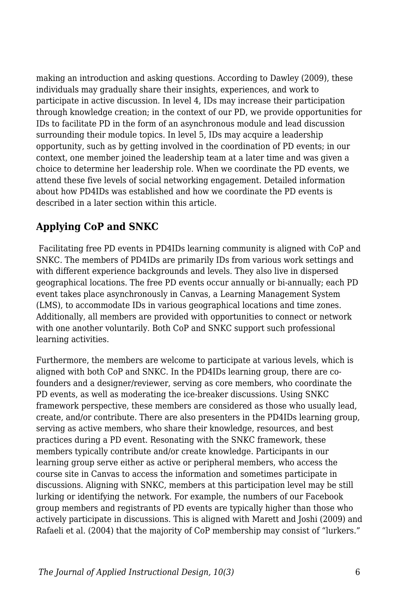making an introduction and asking questions. According to Dawley (2009), these individuals may gradually share their insights, experiences, and work to participate in active discussion. In level 4, IDs may increase their participation through knowledge creation; in the context of our PD, we provide opportunities for IDs to facilitate PD in the form of an asynchronous module and lead discussion surrounding their module topics. In level 5, IDs may acquire a leadership opportunity, such as by getting involved in the coordination of PD events; in our context, one member joined the leadership team at a later time and was given a choice to determine her leadership role. When we coordinate the PD events, we attend these five levels of social networking engagement. Detailed information about how PD4IDs was established and how we coordinate the PD events is described in a later section within this article.

### **Applying CoP and SNKC**

 Facilitating free PD events in PD4IDs learning community is aligned with CoP and SNKC. The members of PD4IDs are primarily IDs from various work settings and with different experience backgrounds and levels. They also live in dispersed geographical locations. The free PD events occur annually or bi-annually; each PD event takes place asynchronously in Canvas, a Learning Management System (LMS), to accommodate IDs in various geographical locations and time zones. Additionally, all members are provided with opportunities to connect or network with one another voluntarily. Both CoP and SNKC support such professional learning activities.

Furthermore, the members are welcome to participate at various levels, which is aligned with both CoP and SNKC. In the PD4IDs learning group, there are cofounders and a designer/reviewer, serving as core members, who coordinate the PD events, as well as moderating the ice-breaker discussions. Using SNKC framework perspective, these members are considered as those who usually lead, create, and/or contribute. There are also presenters in the PD4IDs learning group, serving as active members, who share their knowledge, resources, and best practices during a PD event. Resonating with the SNKC framework, these members typically contribute and/or create knowledge. Participants in our learning group serve either as active or peripheral members, who access the course site in Canvas to access the information and sometimes participate in discussions. Aligning with SNKC, members at this participation level may be still lurking or identifying the network. For example, the numbers of our Facebook group members and registrants of PD events are typically higher than those who actively participate in discussions. This is aligned with Marett and Joshi (2009) and Rafaeli et al. (2004) that the majority of CoP membership may consist of "lurkers."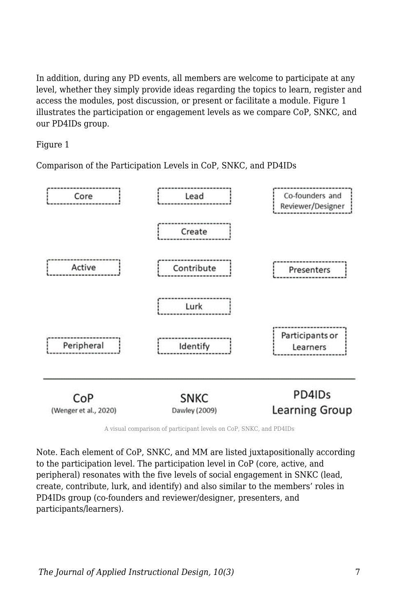In addition, during any PD events, all members are welcome to participate at any level, whether they simply provide ideas regarding the topics to learn, register and access the modules, post discussion, or present or facilitate a module. Figure 1 illustrates the participation or engagement levels as we compare CoP, SNKC, and our PD4IDs group.

#### Figure 1

Comparison of the Participation Levels in CoP, SNKC, and PD4IDs



A visual comparison of participant levels on CoP, SNKC, and PD4IDs

Note. Each element of CoP, SNKC, and MM are listed juxtapositionally according to the participation level. The participation level in CoP (core, active, and peripheral) resonates with the five levels of social engagement in SNKC (lead, create, contribute, lurk, and identify) and also similar to the members' roles in PD4IDs group (co-founders and reviewer/designer, presenters, and participants/learners).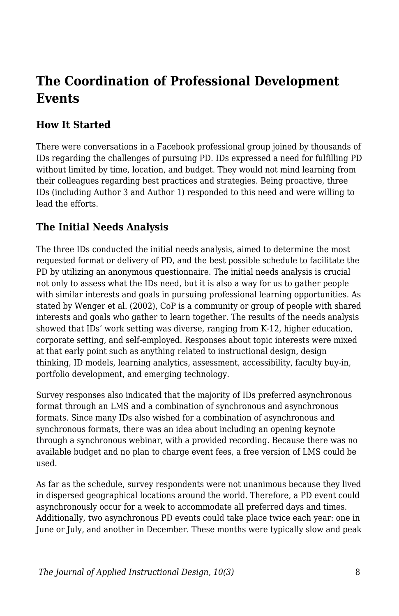# **The Coordination of Professional Development Events**

### **How It Started**

There were conversations in a Facebook professional group joined by thousands of IDs regarding the challenges of pursuing PD. IDs expressed a need for fulfilling PD without limited by time, location, and budget. They would not mind learning from their colleagues regarding best practices and strategies. Being proactive, three IDs (including Author 3 and Author 1) responded to this need and were willing to lead the efforts.

### **The Initial Needs Analysis**

The three IDs conducted the initial needs analysis, aimed to determine the most requested format or delivery of PD, and the best possible schedule to facilitate the PD by utilizing an anonymous questionnaire. The initial needs analysis is crucial not only to assess what the IDs need, but it is also a way for us to gather people with similar interests and goals in pursuing professional learning opportunities. As stated by Wenger et al. (2002), CoP is a community or group of people with shared interests and goals who gather to learn together. The results of the needs analysis showed that IDs' work setting was diverse, ranging from K-12, higher education, corporate setting, and self-employed. Responses about topic interests were mixed at that early point such as anything related to instructional design, design thinking, ID models, learning analytics, assessment, accessibility, faculty buy-in, portfolio development, and emerging technology.

Survey responses also indicated that the majority of IDs preferred asynchronous format through an LMS and a combination of synchronous and asynchronous formats. Since many IDs also wished for a combination of asynchronous and synchronous formats, there was an idea about including an opening keynote through a synchronous webinar, with a provided recording. Because there was no available budget and no plan to charge event fees, a free version of LMS could be used.

As far as the schedule, survey respondents were not unanimous because they lived in dispersed geographical locations around the world. Therefore, a PD event could asynchronously occur for a week to accommodate all preferred days and times. Additionally, two asynchronous PD events could take place twice each year: one in June or July, and another in December. These months were typically slow and peak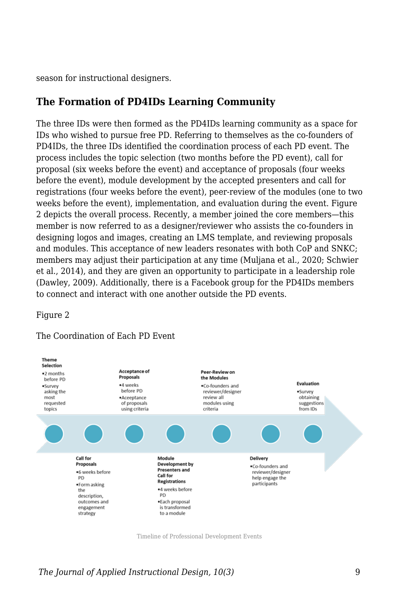season for instructional designers.

#### **The Formation of PD4IDs Learning Community**

The three IDs were then formed as the PD4IDs learning community as a space for IDs who wished to pursue free PD. Referring to themselves as the co-founders of PD4IDs, the three IDs identified the coordination process of each PD event. The process includes the topic selection (two months before the PD event), call for proposal (six weeks before the event) and acceptance of proposals (four weeks before the event), module development by the accepted presenters and call for registrations (four weeks before the event), peer-review of the modules (one to two weeks before the event), implementation, and evaluation during the event. Figure 2 depicts the overall process. Recently, a member joined the core members—this member is now referred to as a designer/reviewer who assists the co-founders in designing logos and images, creating an LMS template, and reviewing proposals and modules. This acceptance of new leaders resonates with both CoP and SNKC; members may adjust their participation at any time (Muljana et al., 2020; Schwier et al., 2014), and they are given an opportunity to participate in a leadership role (Dawley, 2009). Additionally, there is a Facebook group for the PD4IDs members to connect and interact with one another outside the PD events.

#### Figure 2



#### The Coordination of Each PD Event

Timeline of Professional Development Events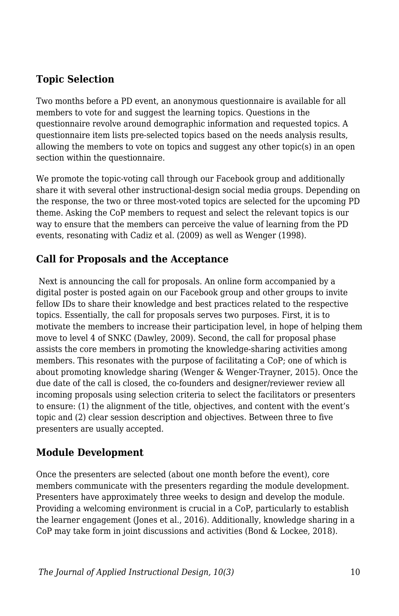### **Topic Selection**

Two months before a PD event, an anonymous questionnaire is available for all members to vote for and suggest the learning topics. Questions in the questionnaire revolve around demographic information and requested topics. A questionnaire item lists pre-selected topics based on the needs analysis results, allowing the members to vote on topics and suggest any other topic(s) in an open section within the questionnaire.

We promote the topic-voting call through our Facebook group and additionally share it with several other instructional-design social media groups. Depending on the response, the two or three most-voted topics are selected for the upcoming PD theme. Asking the CoP members to request and select the relevant topics is our way to ensure that the members can perceive the value of learning from the PD events, resonating with Cadiz et al. (2009) as well as Wenger (1998).

#### **Call for Proposals and the Acceptance**

 Next is announcing the call for proposals. An online form accompanied by a digital poster is posted again on our Facebook group and other groups to invite fellow IDs to share their knowledge and best practices related to the respective topics. Essentially, the call for proposals serves two purposes. First, it is to motivate the members to increase their participation level, in hope of helping them move to level 4 of SNKC (Dawley, 2009). Second, the call for proposal phase assists the core members in promoting the knowledge-sharing activities among members. This resonates with the purpose of facilitating a CoP; one of which is about promoting knowledge sharing (Wenger & Wenger-Trayner, 2015). Once the due date of the call is closed, the co-founders and designer/reviewer review all incoming proposals using selection criteria to select the facilitators or presenters to ensure: (1) the alignment of the title, objectives, and content with the event's topic and (2) clear session description and objectives. Between three to five presenters are usually accepted.

#### **Module Development**

Once the presenters are selected (about one month before the event), core members communicate with the presenters regarding the module development. Presenters have approximately three weeks to design and develop the module. Providing a welcoming environment is crucial in a CoP, particularly to establish the learner engagement (Jones et al., 2016). Additionally, knowledge sharing in a CoP may take form in joint discussions and activities (Bond & Lockee, 2018).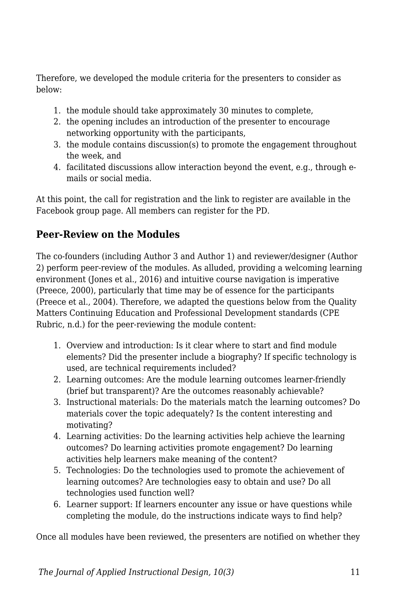Therefore, we developed the module criteria for the presenters to consider as below:

- 1. the module should take approximately 30 minutes to complete,
- 2. the opening includes an introduction of the presenter to encourage networking opportunity with the participants,
- 3. the module contains discussion(s) to promote the engagement throughout the week, and
- 4. facilitated discussions allow interaction beyond the event, e.g., through emails or social media.

At this point, the call for registration and the link to register are available in the Facebook group page. All members can register for the PD.

### **Peer-Review on the Modules**

The co-founders (including Author 3 and Author 1) and reviewer/designer (Author 2) perform peer-review of the modules. As alluded, providing a welcoming learning environment (Jones et al., 2016) and intuitive course navigation is imperative (Preece, 2000), particularly that time may be of essence for the participants (Preece et al., 2004). Therefore, we adapted the questions below from the Quality Matters Continuing Education and Professional Development standards (CPE Rubric, n.d.) for the peer-reviewing the module content:

- 1. Overview and introduction: Is it clear where to start and find module elements? Did the presenter include a biography? If specific technology is used, are technical requirements included?
- 2. Learning outcomes: Are the module learning outcomes learner-friendly (brief but transparent)? Are the outcomes reasonably achievable?
- 3. Instructional materials: Do the materials match the learning outcomes? Do materials cover the topic adequately? Is the content interesting and motivating?
- 4. Learning activities: Do the learning activities help achieve the learning outcomes? Do learning activities promote engagement? Do learning activities help learners make meaning of the content?
- 5. Technologies: Do the technologies used to promote the achievement of learning outcomes? Are technologies easy to obtain and use? Do all technologies used function well?
- 6. Learner support: If learners encounter any issue or have questions while completing the module, do the instructions indicate ways to find help?

Once all modules have been reviewed, the presenters are notified on whether they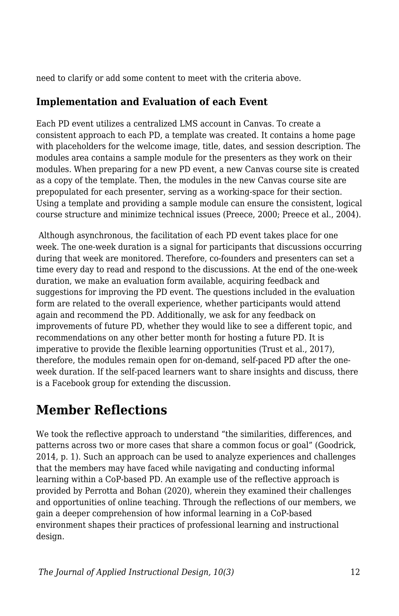need to clarify or add some content to meet with the criteria above.

### **Implementation and Evaluation of each Event**

Each PD event utilizes a centralized LMS account in Canvas. To create a consistent approach to each PD, a template was created. It contains a home page with placeholders for the welcome image, title, dates, and session description. The modules area contains a sample module for the presenters as they work on their modules. When preparing for a new PD event, a new Canvas course site is created as a copy of the template. Then, the modules in the new Canvas course site are prepopulated for each presenter, serving as a working-space for their section. Using a template and providing a sample module can ensure the consistent, logical course structure and minimize technical issues (Preece, 2000; Preece et al., 2004).

 Although asynchronous, the facilitation of each PD event takes place for one week. The one-week duration is a signal for participants that discussions occurring during that week are monitored. Therefore, co-founders and presenters can set a time every day to read and respond to the discussions. At the end of the one-week duration, we make an evaluation form available, acquiring feedback and suggestions for improving the PD event. The questions included in the evaluation form are related to the overall experience, whether participants would attend again and recommend the PD. Additionally, we ask for any feedback on improvements of future PD, whether they would like to see a different topic, and recommendations on any other better month for hosting a future PD. It is imperative to provide the flexible learning opportunities (Trust et al., 2017), therefore, the modules remain open for on-demand, self-paced PD after the oneweek duration. If the self-paced learners want to share insights and discuss, there is a Facebook group for extending the discussion.

# **Member Reflections**

We took the reflective approach to understand "the similarities, differences, and patterns across two or more cases that share a common focus or goal" (Goodrick, 2014, p. 1). Such an approach can be used to analyze experiences and challenges that the members may have faced while navigating and conducting informal learning within a CoP-based PD. An example use of the reflective approach is provided by Perrotta and Bohan (2020), wherein they examined their challenges and opportunities of online teaching. Through the reflections of our members, we gain a deeper comprehension of how informal learning in a CoP-based environment shapes their practices of professional learning and instructional design.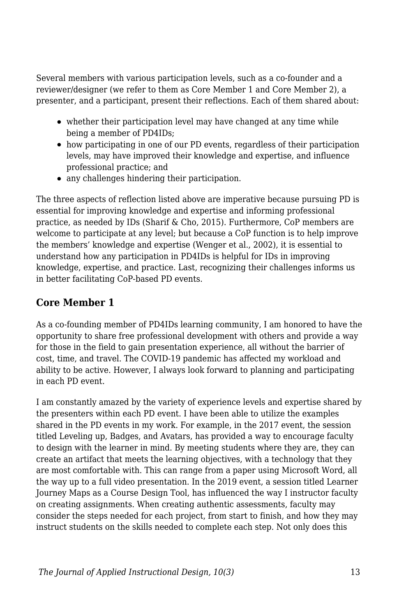Several members with various participation levels, such as a co-founder and a reviewer/designer (we refer to them as Core Member 1 and Core Member 2), a presenter, and a participant, present their reflections. Each of them shared about:

- whether their participation level may have changed at any time while being a member of PD4IDs;
- how participating in one of our PD events, regardless of their participation levels, may have improved their knowledge and expertise, and influence professional practice; and
- any challenges hindering their participation.

The three aspects of reflection listed above are imperative because pursuing PD is essential for improving knowledge and expertise and informing professional practice, as needed by IDs (Sharif & Cho, 2015). Furthermore, CoP members are welcome to participate at any level; but because a CoP function is to help improve the members' knowledge and expertise (Wenger et al., 2002), it is essential to understand how any participation in PD4IDs is helpful for IDs in improving knowledge, expertise, and practice. Last, recognizing their challenges informs us in better facilitating CoP-based PD events.

#### **Core Member 1**

As a co-founding member of PD4IDs learning community, I am honored to have the opportunity to share free professional development with others and provide a way for those in the field to gain presentation experience, all without the barrier of cost, time, and travel. The COVID-19 pandemic has affected my workload and ability to be active. However, I always look forward to planning and participating in each PD event.

I am constantly amazed by the variety of experience levels and expertise shared by the presenters within each PD event. I have been able to utilize the examples shared in the PD events in my work. For example, in the 2017 event, the session titled Leveling up, Badges, and Avatars, has provided a way to encourage faculty to design with the learner in mind. By meeting students where they are, they can create an artifact that meets the learning objectives, with a technology that they are most comfortable with. This can range from a paper using Microsoft Word, all the way up to a full video presentation. In the 2019 event, a session titled Learner Journey Maps as a Course Design Tool, has influenced the way I instructor faculty on creating assignments. When creating authentic assessments, faculty may consider the steps needed for each project, from start to finish, and how they may instruct students on the skills needed to complete each step. Not only does this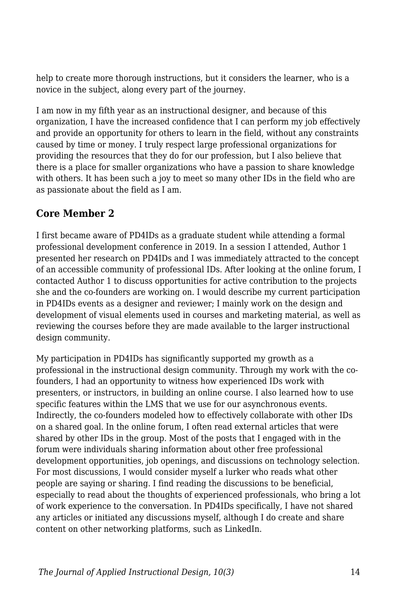help to create more thorough instructions, but it considers the learner, who is a novice in the subject, along every part of the journey.

I am now in my fifth year as an instructional designer, and because of this organization, I have the increased confidence that I can perform my job effectively and provide an opportunity for others to learn in the field, without any constraints caused by time or money. I truly respect large professional organizations for providing the resources that they do for our profession, but I also believe that there is a place for smaller organizations who have a passion to share knowledge with others. It has been such a joy to meet so many other IDs in the field who are as passionate about the field as I am.

#### **Core Member 2**

I first became aware of PD4IDs as a graduate student while attending a formal professional development conference in 2019. In a session I attended, Author 1 presented her research on PD4IDs and I was immediately attracted to the concept of an accessible community of professional IDs. After looking at the online forum, I contacted Author 1 to discuss opportunities for active contribution to the projects she and the co-founders are working on. I would describe my current participation in PD4IDs events as a designer and reviewer; I mainly work on the design and development of visual elements used in courses and marketing material, as well as reviewing the courses before they are made available to the larger instructional design community.

My participation in PD4IDs has significantly supported my growth as a professional in the instructional design community. Through my work with the cofounders, I had an opportunity to witness how experienced IDs work with presenters, or instructors, in building an online course. I also learned how to use specific features within the LMS that we use for our asynchronous events. Indirectly, the co-founders modeled how to effectively collaborate with other IDs on a shared goal. In the online forum, I often read external articles that were shared by other IDs in the group. Most of the posts that I engaged with in the forum were individuals sharing information about other free professional development opportunities, job openings, and discussions on technology selection. For most discussions, I would consider myself a lurker who reads what other people are saying or sharing. I find reading the discussions to be beneficial, especially to read about the thoughts of experienced professionals, who bring a lot of work experience to the conversation. In PD4IDs specifically, I have not shared any articles or initiated any discussions myself, although I do create and share content on other networking platforms, such as LinkedIn.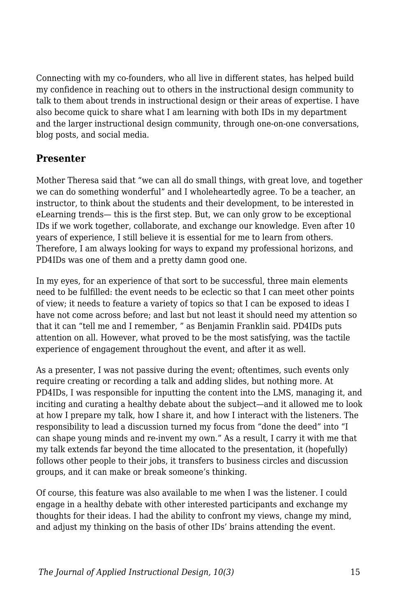Connecting with my co-founders, who all live in different states, has helped build my confidence in reaching out to others in the instructional design community to talk to them about trends in instructional design or their areas of expertise. I have also become quick to share what I am learning with both IDs in my department and the larger instructional design community, through one-on-one conversations, blog posts, and social media.

#### **Presenter**

Mother Theresa said that "we can all do small things, with great love, and together we can do something wonderful" and I wholeheartedly agree. To be a teacher, an instructor, to think about the students and their development, to be interested in eLearning trends— this is the first step. But, we can only grow to be exceptional IDs if we work together, collaborate, and exchange our knowledge. Even after 10 years of experience, I still believe it is essential for me to learn from others. Therefore, I am always looking for ways to expand my professional horizons, and PD4IDs was one of them and a pretty damn good one.

In my eyes, for an experience of that sort to be successful, three main elements need to be fulfilled: the event needs to be eclectic so that I can meet other points of view; it needs to feature a variety of topics so that I can be exposed to ideas I have not come across before; and last but not least it should need my attention so that it can "tell me and I remember, " as Benjamin Franklin said. PD4IDs puts attention on all. However, what proved to be the most satisfying, was the tactile experience of engagement throughout the event, and after it as well.

As a presenter, I was not passive during the event; oftentimes, such events only require creating or recording a talk and adding slides, but nothing more. At PD4IDs, I was responsible for inputting the content into the LMS, managing it, and inciting and curating a healthy debate about the subject—and it allowed me to look at how I prepare my talk, how I share it, and how I interact with the listeners. The responsibility to lead a discussion turned my focus from "done the deed" into "I can shape young minds and re-invent my own." As a result, I carry it with me that my talk extends far beyond the time allocated to the presentation, it (hopefully) follows other people to their jobs, it transfers to business circles and discussion groups, and it can make or break someone's thinking.

Of course, this feature was also available to me when I was the listener. I could engage in a healthy debate with other interested participants and exchange my thoughts for their ideas. I had the ability to confront my views, change my mind, and adjust my thinking on the basis of other IDs' brains attending the event.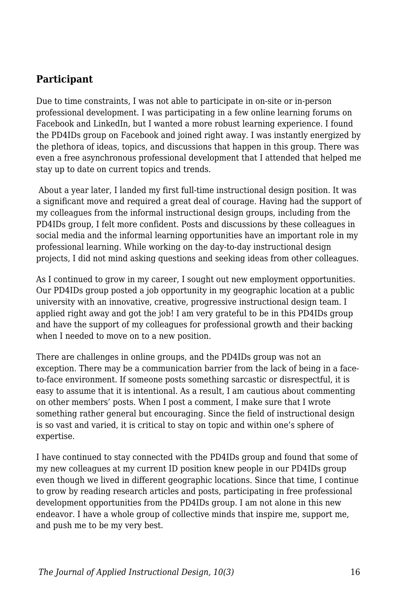#### **Participant**

Due to time constraints, I was not able to participate in on-site or in-person professional development. I was participating in a few online learning forums on Facebook and LinkedIn, but I wanted a more robust learning experience. I found the PD4IDs group on Facebook and joined right away. I was instantly energized by the plethora of ideas, topics, and discussions that happen in this group. There was even a free asynchronous professional development that I attended that helped me stay up to date on current topics and trends.

 About a year later, I landed my first full-time instructional design position. It was a significant move and required a great deal of courage. Having had the support of my colleagues from the informal instructional design groups, including from the PD4IDs group, I felt more confident. Posts and discussions by these colleagues in social media and the informal learning opportunities have an important role in my professional learning. While working on the day-to-day instructional design projects, I did not mind asking questions and seeking ideas from other colleagues.

As I continued to grow in my career, I sought out new employment opportunities. Our PD4IDs group posted a job opportunity in my geographic location at a public university with an innovative, creative, progressive instructional design team. I applied right away and got the job! I am very grateful to be in this PD4IDs group and have the support of my colleagues for professional growth and their backing when I needed to move on to a new position.

There are challenges in online groups, and the PD4IDs group was not an exception. There may be a communication barrier from the lack of being in a faceto-face environment. If someone posts something sarcastic or disrespectful, it is easy to assume that it is intentional. As a result, I am cautious about commenting on other members' posts. When I post a comment, I make sure that I wrote something rather general but encouraging. Since the field of instructional design is so vast and varied, it is critical to stay on topic and within one's sphere of expertise.

I have continued to stay connected with the PD4IDs group and found that some of my new colleagues at my current ID position knew people in our PD4IDs group even though we lived in different geographic locations. Since that time, I continue to grow by reading research articles and posts, participating in free professional development opportunities from the PD4IDs group. I am not alone in this new endeavor. I have a whole group of collective minds that inspire me, support me, and push me to be my very best.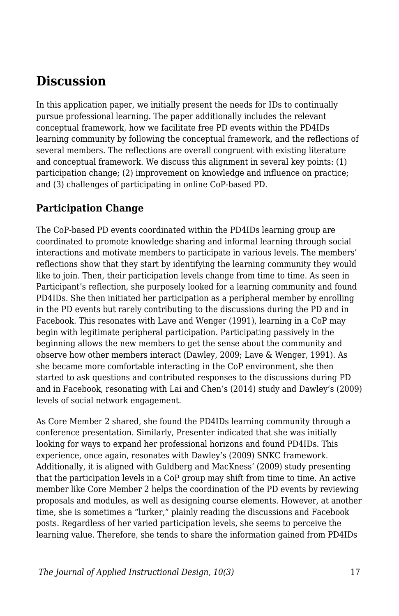### **Discussion**

In this application paper, we initially present the needs for IDs to continually pursue professional learning. The paper additionally includes the relevant conceptual framework, how we facilitate free PD events within the PD4IDs learning community by following the conceptual framework, and the reflections of several members. The reflections are overall congruent with existing literature and conceptual framework. We discuss this alignment in several key points: (1) participation change; (2) improvement on knowledge and influence on practice; and (3) challenges of participating in online CoP-based PD.

#### **Participation Change**

The CoP-based PD events coordinated within the PD4IDs learning group are coordinated to promote knowledge sharing and informal learning through social interactions and motivate members to participate in various levels. The members' reflections show that they start by identifying the learning community they would like to join. Then, their participation levels change from time to time. As seen in Participant's reflection, she purposely looked for a learning community and found PD4IDs. She then initiated her participation as a peripheral member by enrolling in the PD events but rarely contributing to the discussions during the PD and in Facebook. This resonates with Lave and Wenger (1991), learning in a CoP may begin with legitimate peripheral participation. Participating passively in the beginning allows the new members to get the sense about the community and observe how other members interact (Dawley, 2009; Lave & Wenger, 1991). As she became more comfortable interacting in the CoP environment, she then started to ask questions and contributed responses to the discussions during PD and in Facebook, resonating with Lai and Chen's (2014) study and Dawley's (2009) levels of social network engagement.

As Core Member 2 shared, she found the PD4IDs learning community through a conference presentation. Similarly, Presenter indicated that she was initially looking for ways to expand her professional horizons and found PD4IDs. This experience, once again, resonates with Dawley's (2009) SNKC framework. Additionally, it is aligned with Guldberg and MacKness' (2009) study presenting that the participation levels in a CoP group may shift from time to time. An active member like Core Member 2 helps the coordination of the PD events by reviewing proposals and modules, as well as designing course elements. However, at another time, she is sometimes a "lurker," plainly reading the discussions and Facebook posts. Regardless of her varied participation levels, she seems to perceive the learning value. Therefore, she tends to share the information gained from PD4IDs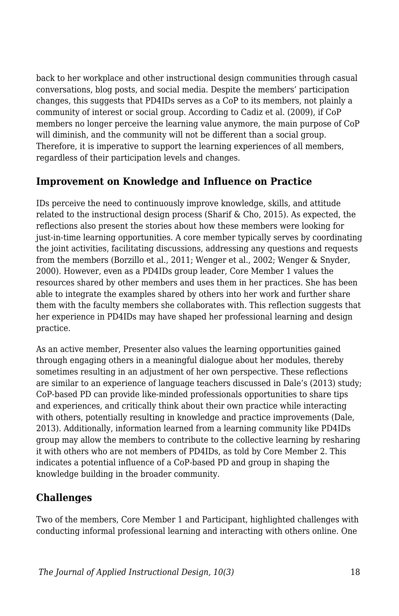back to her workplace and other instructional design communities through casual conversations, blog posts, and social media. Despite the members' participation changes, this suggests that PD4IDs serves as a CoP to its members, not plainly a community of interest or social group. According to Cadiz et al. (2009), if CoP members no longer perceive the learning value anymore, the main purpose of CoP will diminish, and the community will not be different than a social group. Therefore, it is imperative to support the learning experiences of all members, regardless of their participation levels and changes.

#### **Improvement on Knowledge and Influence on Practice**

IDs perceive the need to continuously improve knowledge, skills, and attitude related to the instructional design process (Sharif & Cho, 2015). As expected, the reflections also present the stories about how these members were looking for just-in-time learning opportunities. A core member typically serves by coordinating the joint activities, facilitating discussions, addressing any questions and requests from the members (Borzillo et al., 2011; Wenger et al., 2002; Wenger & Snyder, 2000). However, even as a PD4IDs group leader, Core Member 1 values the resources shared by other members and uses them in her practices. She has been able to integrate the examples shared by others into her work and further share them with the faculty members she collaborates with. This reflection suggests that her experience in PD4IDs may have shaped her professional learning and design practice.

As an active member, Presenter also values the learning opportunities gained through engaging others in a meaningful dialogue about her modules, thereby sometimes resulting in an adjustment of her own perspective. These reflections are similar to an experience of language teachers discussed in Dale's (2013) study; CoP-based PD can provide like-minded professionals opportunities to share tips and experiences, and critically think about their own practice while interacting with others, potentially resulting in knowledge and practice improvements (Dale, 2013). Additionally, information learned from a learning community like PD4IDs group may allow the members to contribute to the collective learning by resharing it with others who are not members of PD4IDs, as told by Core Member 2. This indicates a potential influence of a CoP-based PD and group in shaping the knowledge building in the broader community.

### **Challenges**

Two of the members, Core Member 1 and Participant, highlighted challenges with conducting informal professional learning and interacting with others online. One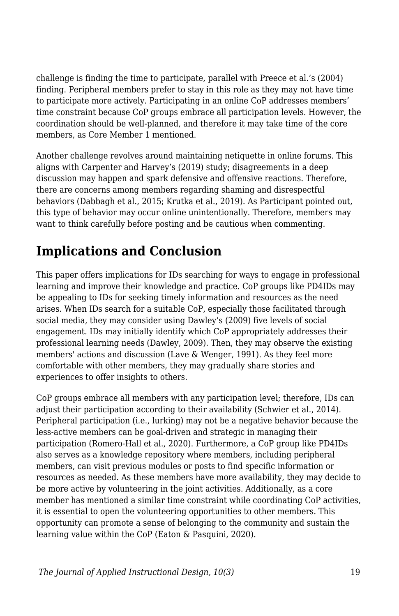challenge is finding the time to participate, parallel with Preece et al.'s (2004) finding. Peripheral members prefer to stay in this role as they may not have time to participate more actively. Participating in an online CoP addresses members' time constraint because CoP groups embrace all participation levels. However, the coordination should be well-planned, and therefore it may take time of the core members, as Core Member 1 mentioned.

Another challenge revolves around maintaining netiquette in online forums. This aligns with Carpenter and Harvey's (2019) study; disagreements in a deep discussion may happen and spark defensive and offensive reactions. Therefore, there are concerns among members regarding shaming and disrespectful behaviors (Dabbagh et al., 2015; Krutka et al., 2019). As Participant pointed out, this type of behavior may occur online unintentionally. Therefore, members may want to think carefully before posting and be cautious when commenting.

# **Implications and Conclusion**

This paper offers implications for IDs searching for ways to engage in professional learning and improve their knowledge and practice. CoP groups like PD4IDs may be appealing to IDs for seeking timely information and resources as the need arises. When IDs search for a suitable CoP, especially those facilitated through social media, they may consider using Dawley's (2009) five levels of social engagement. IDs may initially identify which CoP appropriately addresses their professional learning needs (Dawley, 2009). Then, they may observe the existing members' actions and discussion (Lave & Wenger, 1991). As they feel more comfortable with other members, they may gradually share stories and experiences to offer insights to others.

CoP groups embrace all members with any participation level; therefore, IDs can adjust their participation according to their availability (Schwier et al., 2014). Peripheral participation (i.e., lurking) may not be a negative behavior because the less-active members can be goal-driven and strategic in managing their participation (Romero-Hall et al., 2020). Furthermore, a CoP group like PD4IDs also serves as a knowledge repository where members, including peripheral members, can visit previous modules or posts to find specific information or resources as needed. As these members have more availability, they may decide to be more active by volunteering in the joint activities. Additionally, as a core member has mentioned a similar time constraint while coordinating CoP activities, it is essential to open the volunteering opportunities to other members. This opportunity can promote a sense of belonging to the community and sustain the learning value within the CoP (Eaton & Pasquini, 2020).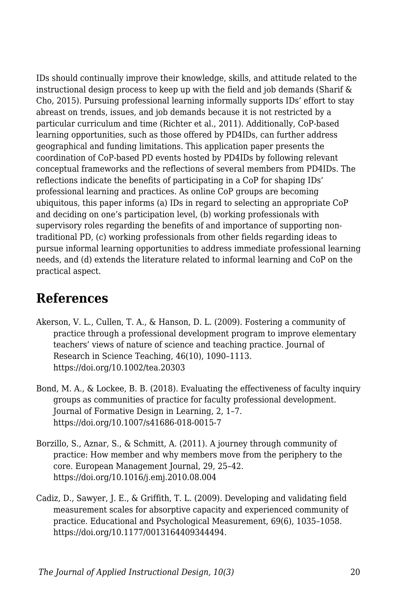IDs should continually improve their knowledge, skills, and attitude related to the instructional design process to keep up with the field and job demands (Sharif  $\&$ Cho, 2015). Pursuing professional learning informally supports IDs' effort to stay abreast on trends, issues, and job demands because it is not restricted by a particular curriculum and time (Richter et al., 2011). Additionally, CoP-based learning opportunities, such as those offered by PD4IDs, can further address geographical and funding limitations. This application paper presents the coordination of CoP-based PD events hosted by PD4IDs by following relevant conceptual frameworks and the reflections of several members from PD4IDs. The reflections indicate the benefits of participating in a CoP for shaping IDs' professional learning and practices. As online CoP groups are becoming ubiquitous, this paper informs (a) IDs in regard to selecting an appropriate CoP and deciding on one's participation level, (b) working professionals with supervisory roles regarding the benefits of and importance of supporting nontraditional PD, (c) working professionals from other fields regarding ideas to pursue informal learning opportunities to address immediate professional learning needs, and (d) extends the literature related to informal learning and CoP on the practical aspect.

### **References**

- Akerson, V. L., Cullen, T. A., & Hanson, D. L. (2009). Fostering a community of practice through a professional development program to improve elementary teachers' views of nature of science and teaching practice. Journal of Research in Science Teaching, 46(10), 1090–1113. https://doi.org/10.1002/tea.20303
- Bond, M. A., & Lockee, B. B. (2018). Evaluating the effectiveness of faculty inquiry groups as communities of practice for faculty professional development. Journal of Formative Design in Learning, 2, 1–7. https://doi.org/10.1007/s41686-018-0015-7
- Borzillo, S., Aznar, S., & Schmitt, A. (2011). A journey through community of practice: How member and why members move from the periphery to the core. European Management Journal, 29, 25–42. https://doi.org/10.1016/j.emj.2010.08.004
- Cadiz, D., Sawyer, J. E., & Griffith, T. L. (2009). Developing and validating field measurement scales for absorptive capacity and experienced community of practice. Educational and Psychological Measurement, 69(6), 1035–1058. https://doi.org/10.1177/0013164409344494.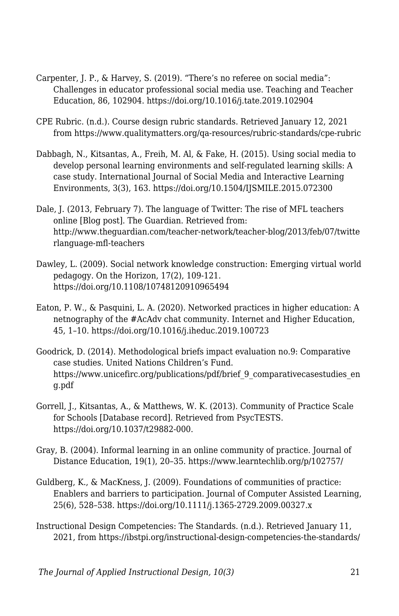- Carpenter, J. P., & Harvey, S. (2019). "There's no referee on social media": Challenges in educator professional social media use. Teaching and Teacher Education, 86, 102904. https://doi.org/10.1016/j.tate.2019.102904
- CPE Rubric. (n.d.). Course design rubric standards. Retrieved January 12, 2021 from https://www.qualitymatters.org/qa-resources/rubric-standards/cpe-rubric
- Dabbagh, N., Kitsantas, A., Freih, M. Al, & Fake, H. (2015). Using social media to develop personal learning environments and self-regulated learning skills: A case study. International Journal of Social Media and Interactive Learning Environments, 3(3), 163. https://doi.org/10.1504/IJSMILE.2015.072300
- Dale, J. (2013, February 7). The language of Twitter: The rise of MFL teachers online [Blog post]. The Guardian. Retrieved from: http://www.theguardian.com/teacher-network/teacher-blog/2013/feb/07/twitte rlanguage-mfl-teachers
- Dawley, L. (2009). Social network knowledge construction: Emerging virtual world pedagogy. On the Horizon, 17(2), 109-121. https://doi.org/10.1108/10748120910965494
- Eaton, P. W., & Pasquini, L. A. (2020). Networked practices in higher education: A netnography of the #AcAdv chat community. Internet and Higher Education, 45, 1–10. https://doi.org/10.1016/j.iheduc.2019.100723
- Goodrick, D. (2014). Methodological briefs impact evaluation no.9: Comparative case studies. United Nations Children's Fund. https://www.unicefirc.org/publications/pdf/brief\_9\_comparativecasestudies\_en g.pdf
- Gorrell, J., Kitsantas, A., & Matthews, W. K. (2013). Community of Practice Scale for Schools [Database record]. Retrieved from PsycTESTS. https://doi.org/10.1037/t29882-000.
- Gray, B. (2004). Informal learning in an online community of practice. Journal of Distance Education, 19(1), 20–35. https://www.learntechlib.org/p/102757/
- Guldberg, K., & MacKness, J. (2009). Foundations of communities of practice: Enablers and barriers to participation. Journal of Computer Assisted Learning, 25(6), 528–538. https://doi.org/10.1111/j.1365-2729.2009.00327.x
- Instructional Design Competencies: The Standards. (n.d.). Retrieved January 11, 2021, from https://ibstpi.org/instructional-design-competencies-the-standards/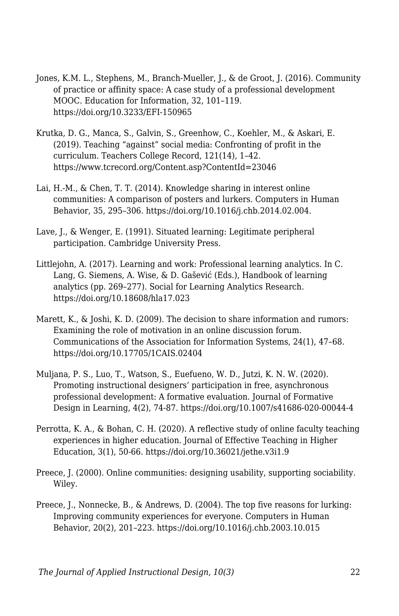- Jones, K.M. L., Stephens, M., Branch-Mueller, J., & de Groot, J. (2016). Community of practice or affinity space: A case study of a professional development MOOC. Education for Information, 32, 101–119. https://doi.org/10.3233/EFI-150965
- Krutka, D. G., Manca, S., Galvin, S., Greenhow, C., Koehler, M., & Askari, E. (2019). Teaching "against" social media: Confronting of profit in the curriculum. Teachers College Record, 121(14), 1–42. https://www.tcrecord.org/Content.asp?ContentId=23046
- Lai, H.-M., & Chen, T. T. (2014). Knowledge sharing in interest online communities: A comparison of posters and lurkers. Computers in Human Behavior, 35, 295–306. https://doi.org/10.1016/j.chb.2014.02.004.
- Lave, J., & Wenger, E. (1991). Situated learning: Legitimate peripheral participation. Cambridge University Press.
- Littlejohn, A. (2017). Learning and work: Professional learning analytics. In C. Lang, G. Siemens, A. Wise, & D. Gašević (Eds.), Handbook of learning analytics (pp. 269–277). Social for Learning Analytics Research. https://doi.org/10.18608/hla17.023
- Marett, K., & Joshi, K. D. (2009). The decision to share information and rumors: Examining the role of motivation in an online discussion forum. Communications of the Association for Information Systems, 24(1), 47–68. https://doi.org/10.17705/1CAIS.02404
- Muljana, P. S., Luo, T., Watson, S., Euefueno, W. D., Jutzi, K. N. W. (2020). Promoting instructional designers' participation in free, asynchronous professional development: A formative evaluation. Journal of Formative Design in Learning, 4(2), 74-87. https://doi.org/10.1007/s41686-020-00044-4
- Perrotta, K. A., & Bohan, C. H. (2020). A reflective study of online faculty teaching experiences in higher education. Journal of Effective Teaching in Higher Education, 3(1), 50-66. https://doi.org/10.36021/jethe.v3i1.9
- Preece, J. (2000). Online communities: designing usability, supporting sociability. Wiley.
- Preece, J., Nonnecke, B., & Andrews, D. (2004). The top five reasons for lurking: Improving community experiences for everyone. Computers in Human Behavior, 20(2), 201–223. https://doi.org/10.1016/j.chb.2003.10.015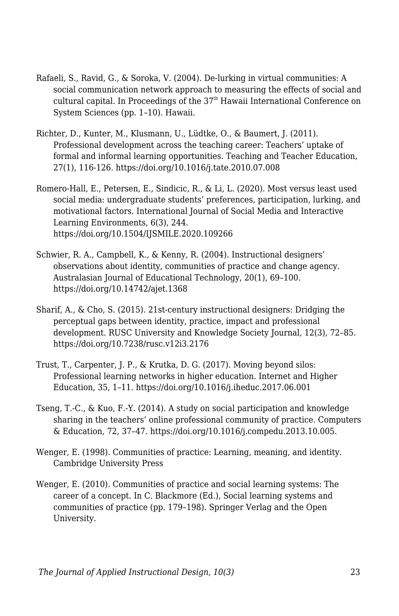- Rafaeli, S., Ravid, G., & Soroka, V. (2004). De-lurking in virtual communities: A social communication network approach to measuring the effects of social and cultural capital. In Proceedings of the  $37<sup>th</sup>$  Hawaii International Conference on System Sciences (pp. 1–10). Hawaii.
- Richter, D., Kunter, M., Klusmann, U., Lüdtke, O., & Baumert, J. (2011). Professional development across the teaching career: Teachers' uptake of formal and informal learning opportunities. Teaching and Teacher Education, 27(1), 116-126. https://doi.org/10.1016/j.tate.2010.07.008
- Romero-Hall, E., Petersen, E., Sindicic, R., & Li, L. (2020). Most versus least used social media: undergraduate students' preferences, participation, lurking, and motivational factors. International Journal of Social Media and Interactive Learning Environments, 6(3), 244. https://doi.org/10.1504/IJSMILE.2020.109266
- Schwier, R. A., Campbell, K., & Kenny, R. (2004). Instructional designers' observations about identity, communities of practice and change agency. Australasian Journal of Educational Technology, 20(1), 69–100. https://doi.org/10.14742/ajet.1368
- Sharif, A., & Cho, S. (2015). 21st-century instructional designers: Dridging the perceptual gaps between identity, practice, impact and professional development. RUSC University and Knowledge Society Journal, 12(3), 72–85. https://doi.org/10.7238/rusc.v12i3.2176
- Trust, T., Carpenter, J. P., & Krutka, D. G. (2017). Moving beyond silos: Professional learning networks in higher education. Internet and Higher Education, 35, 1–11. https://doi.org/10.1016/j.iheduc.2017.06.001
- Tseng, T.-C., & Kuo, F.-Y. (2014). A study on social participation and knowledge sharing in the teachers' online professional community of practice. Computers & Education, 72, 37–47. https://doi.org/10.1016/j.compedu.2013.10.005.
- Wenger, E. (1998). Communities of practice: Learning, meaning, and identity. Cambridge University Press
- Wenger, E. (2010). Communities of practice and social learning systems: The career of a concept. In C. Blackmore (Ed.), Social learning systems and communities of practice (pp. 179–198). Springer Verlag and the Open University.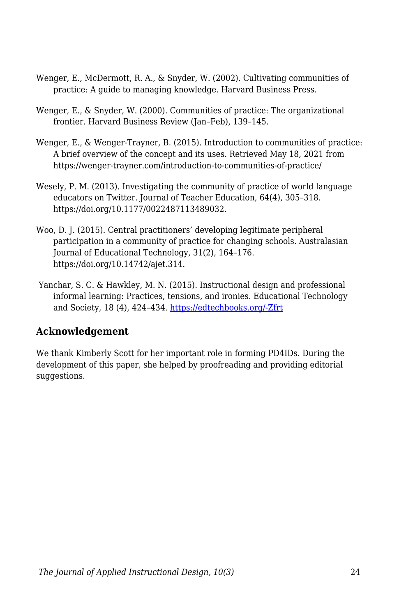- Wenger, E., McDermott, R. A., & Snyder, W. (2002). Cultivating communities of practice: A guide to managing knowledge. Harvard Business Press.
- Wenger, E., & Snyder, W. (2000). Communities of practice: The organizational frontier. Harvard Business Review (Jan–Feb), 139–145.
- Wenger, E., & Wenger-Trayner, B. (2015). Introduction to communities of practice: A brief overview of the concept and its uses. Retrieved May 18, 2021 from https://wenger-trayner.com/introduction-to-communities-of-practice/
- Wesely, P. M. (2013). Investigating the community of practice of world language educators on Twitter. Journal of Teacher Education, 64(4), 305–318. https://doi.org/10.1177/0022487113489032.
- Woo, D. J. (2015). Central practitioners' developing legitimate peripheral participation in a community of practice for changing schools. Australasian Journal of Educational Technology, 31(2), 164–176. https://doi.org/10.14742/ajet.314.
- Yanchar, S. C. & Hawkley, M. N. (2015). Instructional design and professional informal learning: Practices, tensions, and ironies. Educational Technology and Society, 18 (4), 424–434. [https://edtechbooks.org/-Zfrt](https://drive.google.com/open?id=11AuusEZE0hxUa880S5uJAZ_c7YMtZCKh)

### **Acknowledgement**

We thank Kimberly Scott for her important role in forming PD4IDs. During the development of this paper, she helped by proofreading and providing editorial suggestions.